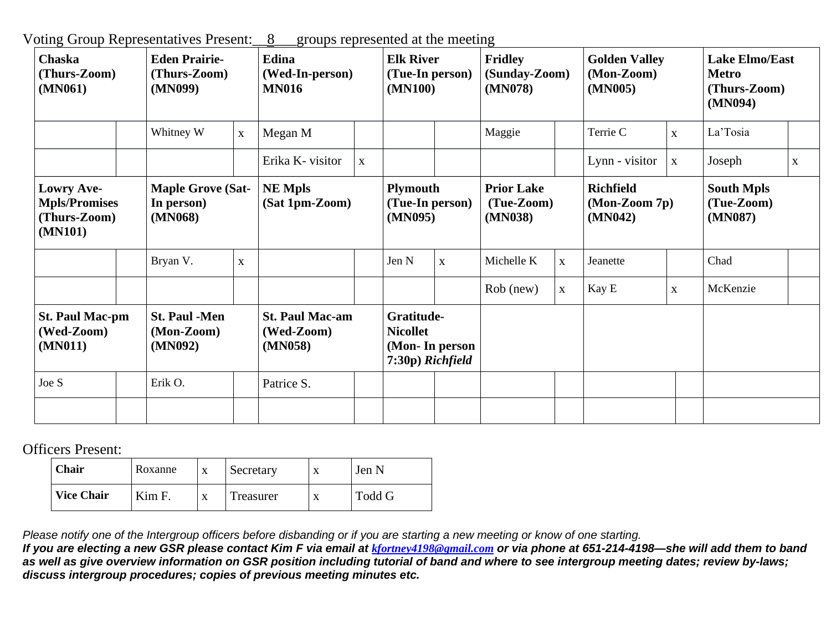Voting Group Representatives Present:\_\_8\_\_\_groups represented at the meeting

| <b>Chaska</b><br>(Thurs-Zoom)<br>(MN061)                      |  | <b>Eden Prairie-</b><br>(Thurs-Zoom)<br>(MN099)   |              | Edina<br>(Wed-In-person)<br><b>MN016</b>        |             | <b>Elk River</b><br>(Tue-In person)<br>(MN100)                      |              | <b>Fridley</b><br>(Sunday-Zoom)<br>(MN078)   |              | <b>Golden Valley</b><br>(Mon-Zoom)<br>(MN005)  |             | <b>Lake Elmo/East</b><br><b>Metro</b><br>(Thurs-Zoom)<br>(MN094) |              |
|---------------------------------------------------------------|--|---------------------------------------------------|--------------|-------------------------------------------------|-------------|---------------------------------------------------------------------|--------------|----------------------------------------------|--------------|------------------------------------------------|-------------|------------------------------------------------------------------|--------------|
|                                                               |  | Whitney W                                         | $\mathbf{X}$ | Megan M                                         |             |                                                                     |              | Maggie                                       |              | Terrie C                                       | $\mathbf X$ | La'Tosia                                                         |              |
|                                                               |  |                                                   |              | Erika K- visitor                                | $\mathbf X$ |                                                                     |              |                                              |              | Lynn - visitor                                 | $\mathbf X$ | Joseph                                                           | $\mathbf{X}$ |
| Lowry Ave-<br><b>Mpls/Promises</b><br>(Thurs-Zoom)<br>(MN101) |  | <b>Maple Grove (Sat-</b><br>In person)<br>(MN068) |              | <b>NE Mpls</b><br>(Sat 1pm-Zoom)                |             | <b>Plymouth</b><br>(Tue-In person)<br>(MN095)                       |              | <b>Prior Lake</b><br>$(Tue-Zoom)$<br>(MN038) |              | <b>Richfield</b><br>$(Mon-Zoom 7p)$<br>(MN042) |             | <b>South Mpls</b><br>(Tue-Zoom)<br>(MN087)                       |              |
|                                                               |  | Bryan V.                                          | $\mathbf X$  |                                                 |             | Jen N                                                               | $\mathbf{X}$ | Michelle K                                   | $\mathbf{X}$ | Jeanette                                       |             | Chad                                                             |              |
|                                                               |  |                                                   |              |                                                 |             |                                                                     |              | Rob (new)                                    | $\mathbf{X}$ | Kay E                                          | $\mathbf X$ | McKenzie                                                         |              |
| <b>St. Paul Mac-pm</b><br>(Wed-Zoom)<br>(MN011)               |  | <b>St. Paul -Men</b><br>$(Mon-Zoom)$<br>(MN092)   |              | <b>St. Paul Mac-am</b><br>(Wed-Zoom)<br>(MN058) |             | Gratitude-<br><b>Nicollet</b><br>(Mon-In person<br>7:30p) Richfield |              |                                              |              |                                                |             |                                                                  |              |
| Joe S                                                         |  | Erik O.                                           |              | Patrice S.                                      |             |                                                                     |              |                                              |              |                                                |             |                                                                  |              |
|                                                               |  |                                                   |              |                                                 |             |                                                                     |              |                                              |              |                                                |             |                                                                  |              |

Officers Present:

| Chair             | Roxanne |           | Secretary | $\lambda$ | Jen N  |
|-------------------|---------|-----------|-----------|-----------|--------|
| <b>Vice Chair</b> | Kim F.  | $\lambda$ | Treasurer |           | Todd G |

Please notify one of the Intergroup officers before disbanding or if you are starting a new meeting or know of one starting.

If you are electing a new GSR please contact Kim F via email at *[kfortney4198@gmail.com](mailto:kfortney4198@gmail.com)* or via phone at 651-214-4198—she will add them to band as well as give overview information on GSR position including tutorial of band and where to see intergroup meeting dates; review by-laws; *discuss intergroup procedures; copies of previous meeting minutes etc.*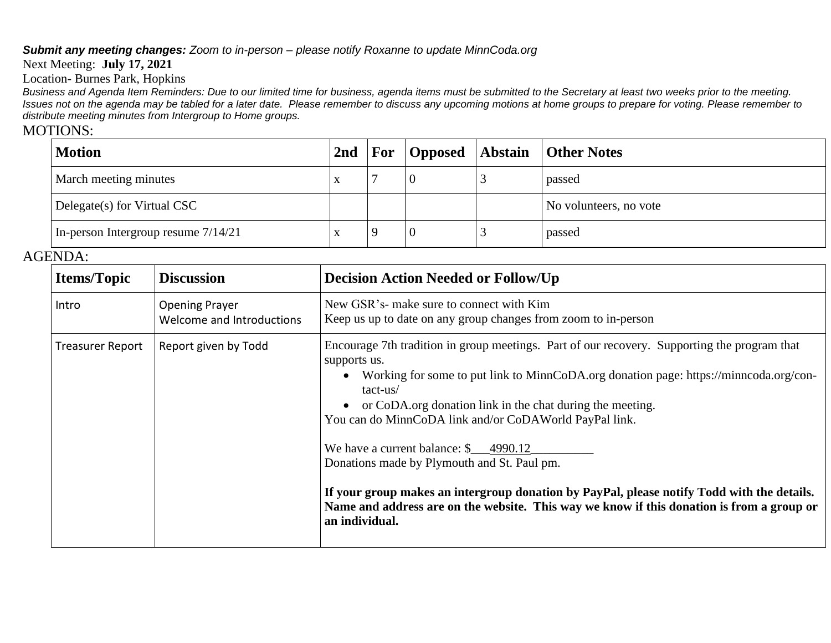### *Submit any meeting changes: Zoom to in-person – please notify Roxanne to update MinnCoda.org*

#### Next Meeting: **July 17, 2021**

Location- Burnes Park, Hopkins

Business and Agenda Item Reminders: Due to our limited time for business, agenda items must be submitted to the Secretary at least two weeks prior to the meeting. Issues not on the agenda may be tabled for a later date. Please remember to discuss any upcoming motions at home groups to prepare for voting. Please remember to *distribute meeting minutes from Intergroup to Home groups.*

# MOTIONS:

| <b>Motion</b>                         | 2nd                       |  | <b>For Opposed Abstain Other Notes</b> |
|---------------------------------------|---------------------------|--|----------------------------------------|
| March meeting minutes                 | $\mathbf{v}$<br>$\Lambda$ |  | passed                                 |
| Delegate(s) for Virtual CSC           |                           |  | No volunteers, no vote                 |
| In-person Intergroup resume $7/14/21$ |                           |  | passed                                 |

## AGENDA:

| <b>Items/Topic</b>      | <b>Discussion</b>                                  | <b>Decision Action Needed or Follow/Up</b>                                                                                                                                                                                                                                                                                                                                                                                                                                                                                                                                                                                                                 |
|-------------------------|----------------------------------------------------|------------------------------------------------------------------------------------------------------------------------------------------------------------------------------------------------------------------------------------------------------------------------------------------------------------------------------------------------------------------------------------------------------------------------------------------------------------------------------------------------------------------------------------------------------------------------------------------------------------------------------------------------------------|
| Intro                   | <b>Opening Prayer</b><br>Welcome and Introductions | New GSR's- make sure to connect with Kim<br>Keep us up to date on any group changes from zoom to in-person                                                                                                                                                                                                                                                                                                                                                                                                                                                                                                                                                 |
| <b>Treasurer Report</b> | Report given by Todd                               | Encourage 7th tradition in group meetings. Part of our recovery. Supporting the program that<br>supports us.<br>Working for some to put link to MinnCoDA.org donation page: https://minncoda.org/con-<br>$tact-us/$<br>or CoDA.org donation link in the chat during the meeting.<br>You can do MinnCoDA link and/or CoDAWorld PayPal link.<br>We have a current balance: $\frac{1}{2}$ 4990.12<br>Donations made by Plymouth and St. Paul pm.<br>If your group makes an intergroup donation by PayPal, please notify Todd with the details.<br>Name and address are on the website. This way we know if this donation is from a group or<br>an individual. |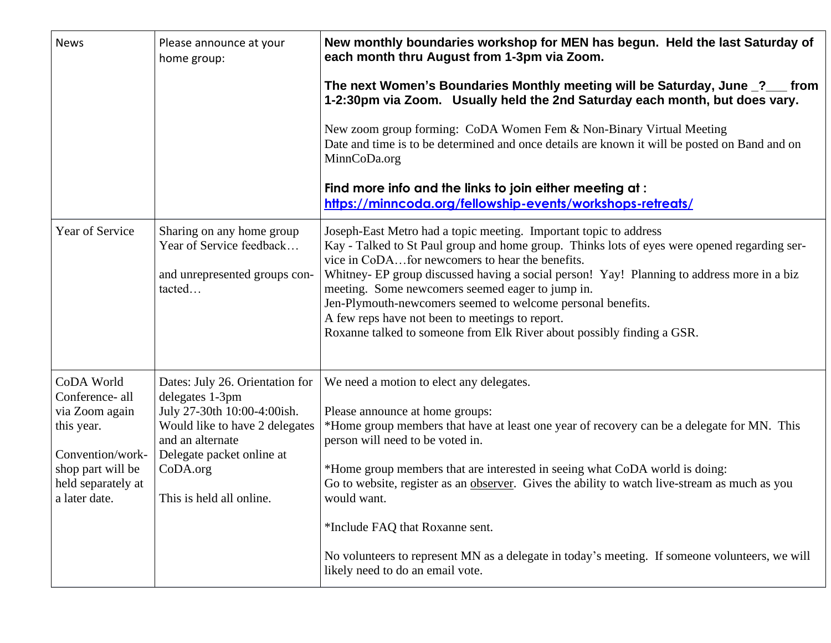| <b>News</b>                                                                                                                                   | Please announce at your<br>home group:                                                                                                                                                                       | New monthly boundaries workshop for MEN has begun. Held the last Saturday of<br>each month thru August from 1-3pm via Zoom.                                                                                                                                                                                                                                                                                                                                                                                                                                                           |  |  |  |  |
|-----------------------------------------------------------------------------------------------------------------------------------------------|--------------------------------------------------------------------------------------------------------------------------------------------------------------------------------------------------------------|---------------------------------------------------------------------------------------------------------------------------------------------------------------------------------------------------------------------------------------------------------------------------------------------------------------------------------------------------------------------------------------------------------------------------------------------------------------------------------------------------------------------------------------------------------------------------------------|--|--|--|--|
|                                                                                                                                               |                                                                                                                                                                                                              | The next Women's Boundaries Monthly meeting will be Saturday, June 2_ from<br>1-2:30pm via Zoom. Usually held the 2nd Saturday each month, but does vary.                                                                                                                                                                                                                                                                                                                                                                                                                             |  |  |  |  |
|                                                                                                                                               |                                                                                                                                                                                                              | New zoom group forming: CoDA Women Fem & Non-Binary Virtual Meeting<br>Date and time is to be determined and once details are known it will be posted on Band and on<br>MinnCoDa.org                                                                                                                                                                                                                                                                                                                                                                                                  |  |  |  |  |
|                                                                                                                                               |                                                                                                                                                                                                              | Find more info and the links to join either meeting at:<br>https://minncoda.org/fellowship-events/workshops-retreats/                                                                                                                                                                                                                                                                                                                                                                                                                                                                 |  |  |  |  |
| Year of Service                                                                                                                               | Sharing on any home group<br>Year of Service feedback<br>and unrepresented groups con-<br>tacted                                                                                                             | Joseph-East Metro had a topic meeting. Important topic to address<br>Kay - Talked to St Paul group and home group. Thinks lots of eyes were opened regarding ser-<br>vice in CoDAfor newcomers to hear the benefits.<br>Whitney- EP group discussed having a social person! Yay! Planning to address more in a biz<br>meeting. Some newcomers seemed eager to jump in.<br>Jen-Plymouth-newcomers seemed to welcome personal benefits.<br>A few reps have not been to meetings to report.<br>Roxanne talked to someone from Elk River about possibly finding a GSR.                    |  |  |  |  |
| CoDA World<br>Conference- all<br>via Zoom again<br>this year.<br>Convention/work-<br>shop part will be<br>held separately at<br>a later date. | Dates: July 26. Orientation for<br>delegates 1-3pm<br>July 27-30th 10:00-4:00ish.<br>Would like to have 2 delegates<br>and an alternate<br>Delegate packet online at<br>CoDA.org<br>This is held all online. | We need a motion to elect any delegates.<br>Please announce at home groups:<br>*Home group members that have at least one year of recovery can be a delegate for MN. This<br>person will need to be voted in.<br>*Home group members that are interested in seeing what CoDA world is doing:<br>Go to website, register as an observer. Gives the ability to watch live-stream as much as you<br>would want.<br>*Include FAQ that Roxanne sent.<br>No volunteers to represent MN as a delegate in today's meeting. If someone volunteers, we will<br>likely need to do an email vote. |  |  |  |  |